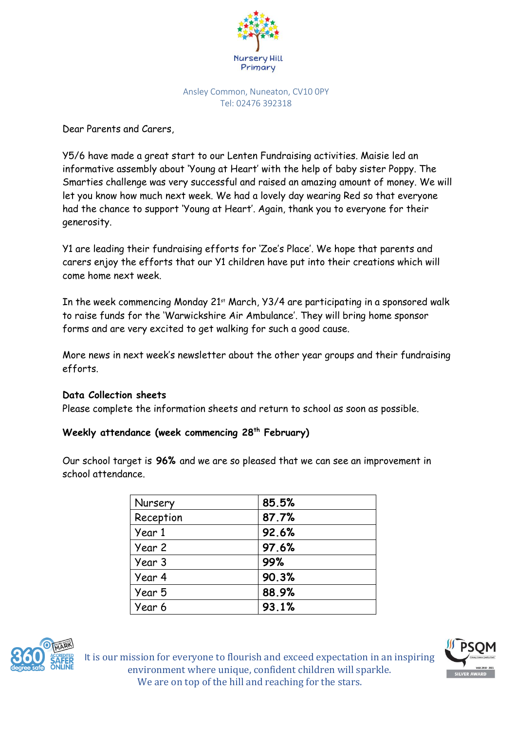

Ansley Common, Nuneaton, CV10 0PY Tel: 02476 392318

Dear Parents and Carers,

Y5/6 have made a great start to our Lenten Fundraising activities. Maisie led an informative assembly about 'Young at Heart' with the help of baby sister Poppy. The Smarties challenge was very successful and raised an amazing amount of money. We will let you know how much next week. We had a lovely day wearing Red so that everyone had the chance to support 'Young at Heart'. Again, thank you to everyone for their generosity.

Y1 are leading their fundraising efforts for 'Zoe's Place'. We hope that parents and carers enjoy the efforts that our Y1 children have put into their creations which will come home next week.

In the week commencing Monday 21st March, Y3/4 are participating in a sponsored walk to raise funds for the 'Warwickshire Air Ambulance'. They will bring home sponsor forms and are very excited to get walking for such a good cause.

More news in next week's newsletter about the other year groups and their fundraising efforts.

## **Data Collection sheets**

Please complete the information sheets and return to school as soon as possible.

# **Weekly attendance (week commencing 28th February)**

Our school target is **96%** and we are so pleased that we can see an improvement in school attendance.

| Nursery   | 85.5% |
|-----------|-------|
| Reception | 87.7% |
| Year 1    | 92.6% |
| Year 2    | 97.6% |
| Year 3    | 99%   |
| Year 4    | 90.3% |
| Year 5    | 88.9% |
| Year 6    | 93.1% |



It is our mission for everyone to flourish and exceed expectation in an inspiring environment where unique, confident children will sparkle. We are on top of the hill and reaching for the stars.